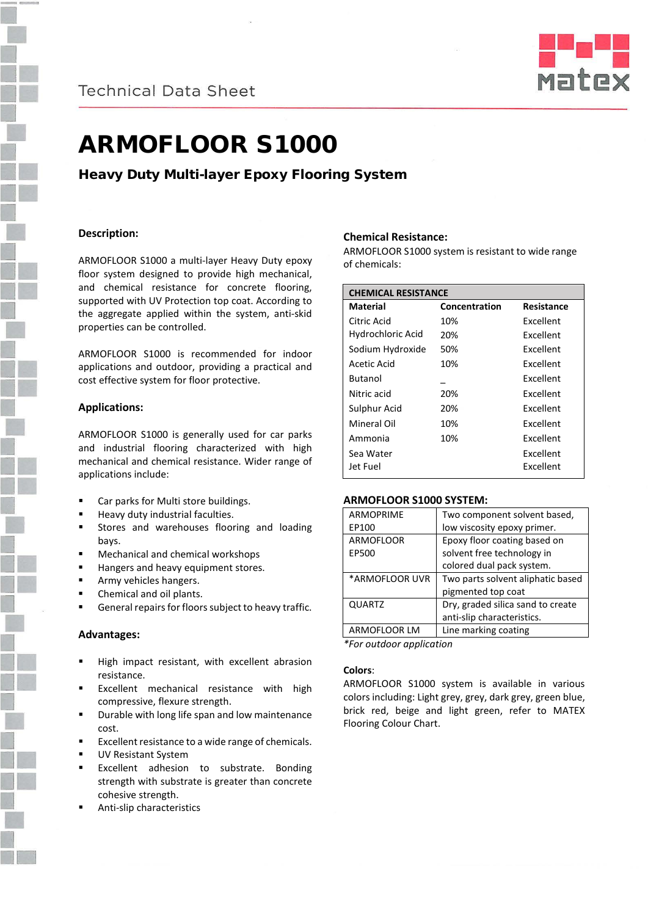

# ARMOFLOOR S1000

Heavy Duty Multi-layer Epoxy Flooring System

# **Description:**

ARMOFLOOR S1000 a multi-layer Heavy Duty epoxy floor system designed to provide high mechanical, and chemical resistance for concrete flooring, supported with UV Protection top coat. According to the aggregate applied within the system, anti-skid properties can be controlled.

ARMOFLOOR S1000 is recommended for indoor applications and outdoor, providing a practical and cost effective system for floor protective.

# **Applications:**

ARMOFLOOR S1000 is generally used for car parks and industrial flooring characterized with high mechanical and chemical resistance. Wider range of applications include:

- Car parks for Multi store buildings.
- Heavy duty industrial faculties.
- Stores and warehouses flooring and loading bays.
- Mechanical and chemical workshops
- Hangers and heavy equipment stores.
- Army vehicles hangers.
- Chemical and oil plants.
- General repairs for floors subject to heavy traffic.

## **Advantages:**

- High impact resistant, with excellent abrasion resistance.
- Excellent mechanical resistance with high compressive, flexure strength.
- Durable with long life span and low maintenance cost.
- Excellent resistance to a wide range of chemicals.
- UV Resistant System
- Excellent adhesion to substrate. Bonding strength with substrate is greater than concrete cohesive strength.
- Anti-slip characteristics

## **Chemical Resistance:**

ARMOFLOOR S1000 system is resistant to wide range of chemicals:

| <b>CHEMICAL RESISTANCE</b> |               |                  |
|----------------------------|---------------|------------------|
| Material                   | Concentration | Resistance       |
| Citric Acid                | 10%           | Fxcellent        |
| Hydrochloric Acid          | 20%           | <b>Excellent</b> |
| Sodium Hydroxide           | 50%           | Fxcellent        |
| Acetic Acid                | 10%           | Excellent        |
| <b>Butanol</b>             |               | <b>Excellent</b> |
| Nitric acid                | 20%           | <b>Excellent</b> |
| Sulphur Acid               | 20%           | <b>Fxcellent</b> |
| Mineral Oil                | 10%           | <b>Fxcellent</b> |
| Ammonia                    | 10%           | <b>Fxcellent</b> |
| Sea Water                  |               | Excellent        |
| Jet Fuel                   |               | Excellent        |

## **ARMOFLOOR S1000 SYSTEM:**

| <b>ARMOPRIME</b> | Two component solvent based,      |
|------------------|-----------------------------------|
| EP100            | low viscosity epoxy primer.       |
| <b>ARMOFLOOR</b> | Epoxy floor coating based on      |
| EP500            | solvent free technology in        |
|                  | colored dual pack system.         |
| *ARMOFLOOR UVR   | Two parts solvent aliphatic based |
|                  | pigmented top coat                |
| <b>QUARTZ</b>    | Dry, graded silica sand to create |
|                  | anti-slip characteristics.        |
| ARMOFLOOR LM     | Line marking coating              |

*\*For outdoor application*

## **Colors**:

ARMOFLOOR S1000 system is available in various colors including: Light grey, grey, dark grey, green blue, brick red, beige and light green, refer to MATEX Flooring Colour Chart.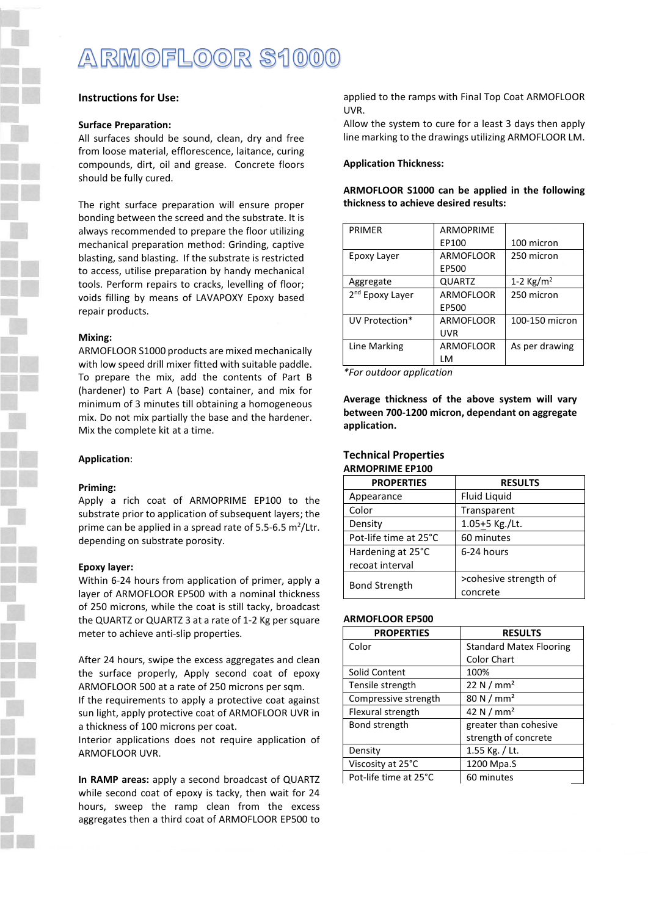# ARMOFLOOR S1000

# **Instructions for Use:**

## **Surface Preparation:**

All surfaces should be sound, clean, dry and free from loose material, efflorescence, laitance, curing compounds, dirt, oil and grease. Concrete floors should be fully cured.

The right surface preparation will ensure proper bonding between the screed and the substrate. It is always recommended to prepare the floor utilizing mechanical preparation method: Grinding, captive blasting, sand blasting. If the substrate is restricted to access, utilise preparation by handy mechanical tools. Perform repairs to cracks, levelling of floor; voids filling by means of LAVAPOXY Epoxy based repair products.

## **Mixing:**

ARMOFLOOR S1000 products are mixed mechanically with low speed drill mixer fitted with suitable paddle. To prepare the mix, add the contents of Part B (hardener) to Part A (base) container, and mix for minimum of 3 minutes till obtaining a homogeneous mix. Do not mix partially the base and the hardener. Mix the complete kit at a time.

## **Application**:

## **Priming:**

Apply a rich coat of ARMOPRIME EP100 to the substrate prior to application of subsequent layers; the prime can be applied in a spread rate of 5.5-6.5  $m^2$ /Ltr. depending on substrate porosity.

#### **Epoxy layer:**

Within 6-24 hours from application of primer, apply a layer of ARMOFLOOR EP500 with a nominal thickness of 250 microns, while the coat is still tacky, broadcast the QUARTZ or QUARTZ 3 at a rate of 1-2 Kg per square meter to achieve anti-slip properties.

After 24 hours, swipe the excess aggregates and clean the surface properly, Apply second coat of epoxy ARMOFLOOR 500 at a rate of 250 microns per sqm.

If the requirements to apply a protective coat against sun light, apply protective coat of ARMOFLOOR UVR in a thickness of 100 microns per coat.

Interior applications does not require application of ARMOFLOOR UVR.

**In RAMP areas:** apply a second broadcast of QUARTZ while second coat of epoxy is tacky, then wait for 24 hours, sweep the ramp clean from the excess aggregates then a third coat of ARMOFLOOR EP500 to

applied to the ramps with Final Top Coat ARMOFLOOR UVR.

Allow the system to cure for a least 3 days then apply line marking to the drawings utilizing ARMOFLOOR LM.

**ARMOFLOOR S1000 can be applied in the following** 

## **Application Thickness:**

**thickness to achieve desired results:**

| <b>PRIMER</b>               | <b>ARMOPRIME</b> |                     |
|-----------------------------|------------------|---------------------|
|                             | EP100            | 100 micron          |
| Epoxy Layer                 | ARMOFLOOR        | 250 micron          |
|                             | EP500            |                     |
| Aggregate                   | <b>QUARTZ</b>    | 1-2 $\text{Kg/m}^2$ |
| 2 <sup>nd</sup> Epoxy Layer | ARMOFLOOR        | 250 micron          |
|                             | EP500            |                     |
| UV Protection*              | ARMOFLOOR        | 100-150 micron      |
|                             | UVR              |                     |
| Line Marking                | ARMOFLOOR        | As per drawing      |
|                             | ١M               |                     |

*\*For outdoor application*

**Average thickness of the above system will vary between 700-1200 micron, dependant on aggregate application.**

## **Technical Properties ARMOPRIME EP100**

| <b>PROPERTIES</b>     | <b>RESULTS</b>        |  |
|-----------------------|-----------------------|--|
| Appearance            | <b>Fluid Liquid</b>   |  |
| Color                 | Transparent           |  |
| Density               | $1.05 + 5$ Kg./Lt.    |  |
| Pot-life time at 25°C | 60 minutes            |  |
| Hardening at 25°C     | 6-24 hours            |  |
| recoat interval       |                       |  |
| <b>Bond Strength</b>  | >cohesive strength of |  |
|                       | concrete              |  |

#### **ARMOFLOOR EP500**

| <b>PROPERTIES</b>     | <b>RESULTS</b>                 |
|-----------------------|--------------------------------|
| Color                 | <b>Standard Matex Flooring</b> |
|                       | <b>Color Chart</b>             |
| Solid Content         | 100%                           |
| Tensile strength      | 22 N $/$ mm <sup>2</sup>       |
| Compressive strength  | 80 N / mm <sup>2</sup>         |
| Flexural strength     | 42 N / $mm2$                   |
| Bond strength         | greater than cohesive          |
|                       | strength of concrete           |
| Density               | 1.55 Kg. / Lt.                 |
| Viscosity at 25°C     | 1200 Mpa.S                     |
| Pot-life time at 25°C | 60 minutes                     |